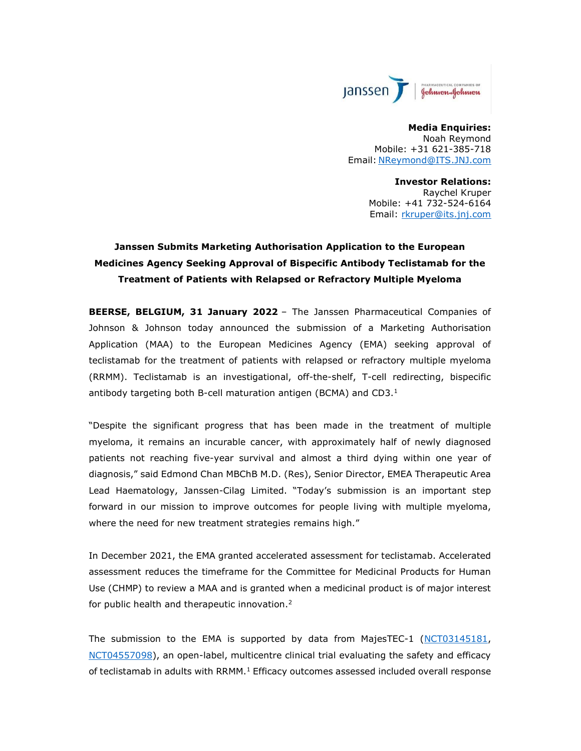

Media Enquiries: Noah Reymond Mobile: +31 621-385-718 Email: NReymond@ITS.JNJ.com

Investor Relations:

Raychel Kruper Mobile: +41 732-524-6164 Email: rkruper@its.jnj.com

# Janssen Submits Marketing Authorisation Application to the European Medicines Agency Seeking Approval of Bispecific Antibody Teclistamab for the Treatment of Patients with Relapsed or Refractory Multiple Myeloma

BEERSE, BELGIUM, 31 January 2022 - The Janssen Pharmaceutical Companies of Johnson & Johnson today announced the submission of a Marketing Authorisation Application (MAA) to the European Medicines Agency (EMA) seeking approval of teclistamab for the treatment of patients with relapsed or refractory multiple myeloma (RRMM). Teclistamab is an investigational, off-the-shelf, T-cell redirecting, bispecific antibody targeting both B-cell maturation antigen (BCMA) and CD3. $<sup>1</sup>$ </sup>

"Despite the significant progress that has been made in the treatment of multiple myeloma, it remains an incurable cancer, with approximately half of newly diagnosed patients not reaching five-year survival and almost a third dying within one year of diagnosis," said Edmond Chan MBChB M.D. (Res), Senior Director, EMEA Therapeutic Area Lead Haematology, Janssen-Cilag Limited. "Today's submission is an important step forward in our mission to improve outcomes for people living with multiple myeloma, where the need for new treatment strategies remains high."

In December 2021, the EMA granted accelerated assessment for teclistamab. Accelerated assessment reduces the timeframe for the Committee for Medicinal Products for Human Use (CHMP) to review a MAA and is granted when a medicinal product is of major interest for public health and therapeutic innovation.<sup>2</sup>

The submission to the EMA is supported by data from MajesTEC-1 (NCT03145181, NCT04557098), an open-label, multicentre clinical trial evaluating the safety and efficacy of teclistamab in adults with RRMM.<sup>1</sup> Efficacy outcomes assessed included overall response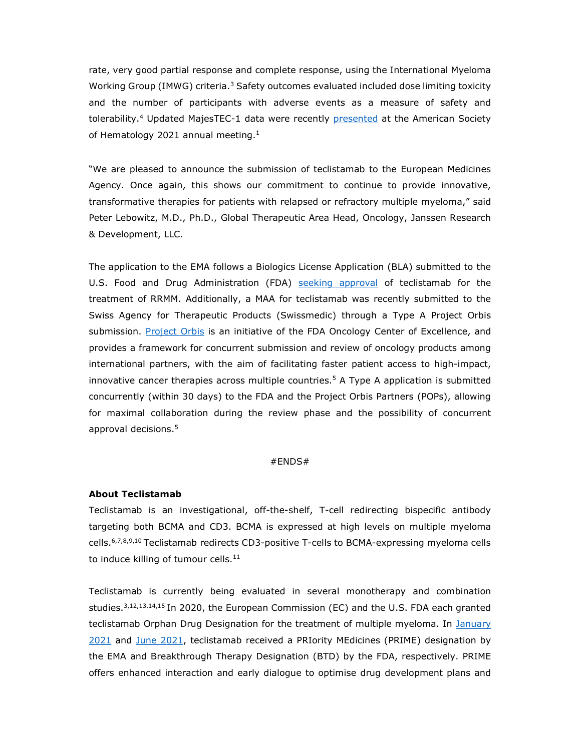rate, very good partial response and complete response, using the International Myeloma Working Group (IMWG) criteria.<sup>3</sup> Safety outcomes evaluated included dose limiting toxicity and the number of participants with adverse events as a measure of safety and tolerability.<sup>4</sup> Updated MajesTEC-1 data were recently presented at the American Society of Hematology 2021 annual meeting. $1$ 

"We are pleased to announce the submission of teclistamab to the European Medicines Agency. Once again, this shows our commitment to continue to provide innovative, transformative therapies for patients with relapsed or refractory multiple myeloma," said Peter Lebowitz, M.D., Ph.D., Global Therapeutic Area Head, Oncology, Janssen Research & Development, LLC.

The application to the EMA follows a Biologics License Application (BLA) submitted to the U.S. Food and Drug Administration (FDA) seeking approval of teclistamab for the treatment of RRMM. Additionally, a MAA for teclistamab was recently submitted to the Swiss Agency for Therapeutic Products (Swissmedic) through a Type A Project Orbis submission. Project Orbis is an initiative of the FDA Oncology Center of Excellence, and provides a framework for concurrent submission and review of oncology products among international partners, with the aim of facilitating faster patient access to high-impact, innovative cancer therapies across multiple countries.<sup>5</sup> A Type A application is submitted concurrently (within 30 days) to the FDA and the Project Orbis Partners (POPs), allowing for maximal collaboration during the review phase and the possibility of concurrent approval decisions.<sup>5</sup>

#### #ENDS#

### About Teclistamab

Teclistamab is an investigational, off-the-shelf, T-cell redirecting bispecific antibody targeting both BCMA and CD3. BCMA is expressed at high levels on multiple myeloma cells.6,7,8,9,10 Teclistamab redirects CD3-positive T-cells to BCMA-expressing myeloma cells to induce killing of tumour cells. $^{\rm 11}$ 

Teclistamab is currently being evaluated in several monotherapy and combination studies. $3,12,13,14,15$  In 2020, the European Commission (EC) and the U.S. FDA each granted teclistamab Orphan Drug Designation for the treatment of multiple myeloma. In January 2021 and June 2021, teclistamab received a PRIority MEdicines (PRIME) designation by the EMA and Breakthrough Therapy Designation (BTD) by the FDA, respectively. PRIME offers enhanced interaction and early dialogue to optimise drug development plans and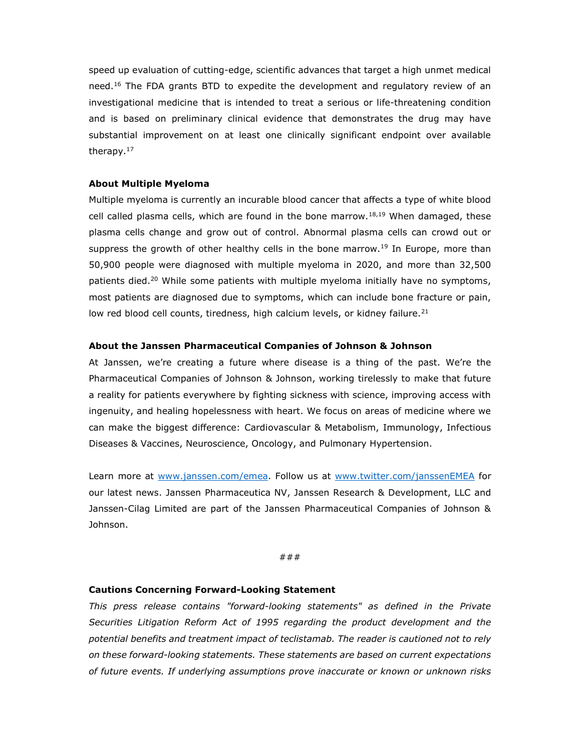speed up evaluation of cutting-edge, scientific advances that target a high unmet medical need.<sup>16</sup> The FDA grants BTD to expedite the development and regulatory review of an investigational medicine that is intended to treat a serious or life-threatening condition and is based on preliminary clinical evidence that demonstrates the drug may have substantial improvement on at least one clinically significant endpoint over available therapy.<sup>17</sup>

## About Multiple Myeloma

Multiple myeloma is currently an incurable blood cancer that affects a type of white blood cell called plasma cells, which are found in the bone marrow.<sup>18,19</sup> When damaged, these plasma cells change and grow out of control. Abnormal plasma cells can crowd out or suppress the growth of other healthy cells in the bone marrow.<sup>19</sup> In Europe, more than 50,900 people were diagnosed with multiple myeloma in 2020, and more than 32,500 patients died.<sup>20</sup> While some patients with multiple myeloma initially have no symptoms, most patients are diagnosed due to symptoms, which can include bone fracture or pain, low red blood cell counts, tiredness, high calcium levels, or kidney failure.<sup>21</sup>

# About the Janssen Pharmaceutical Companies of Johnson & Johnson

At Janssen, we're creating a future where disease is a thing of the past. We're the Pharmaceutical Companies of Johnson & Johnson, working tirelessly to make that future a reality for patients everywhere by fighting sickness with science, improving access with ingenuity, and healing hopelessness with heart. We focus on areas of medicine where we can make the biggest difference: Cardiovascular & Metabolism, Immunology, Infectious Diseases & Vaccines, Neuroscience, Oncology, and Pulmonary Hypertension.

Learn more at www.janssen.com/emea. Follow us at www.twitter.com/janssenEMEA for our latest news. Janssen Pharmaceutica NV, Janssen Research & Development, LLC and Janssen-Cilag Limited are part of the Janssen Pharmaceutical Companies of Johnson & Johnson.

###

# Cautions Concerning Forward-Looking Statement

This press release contains "forward-looking statements" as defined in the Private Securities Litigation Reform Act of 1995 regarding the product development and the potential benefits and treatment impact of teclistamab. The reader is cautioned not to rely on these forward-looking statements. These statements are based on current expectations of future events. If underlying assumptions prove inaccurate or known or unknown risks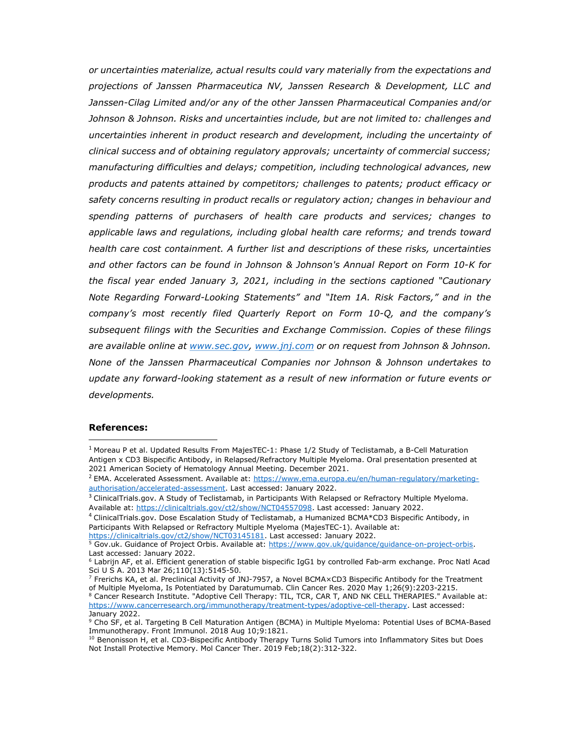or uncertainties materialize, actual results could vary materially from the expectations and projections of Janssen Pharmaceutica NV, Janssen Research & Development, LLC and Janssen-Cilag Limited and/or any of the other Janssen Pharmaceutical Companies and/or Johnson & Johnson. Risks and uncertainties include, but are not limited to: challenges and uncertainties inherent in product research and development, including the uncertainty of clinical success and of obtaining regulatory approvals; uncertainty of commercial success; manufacturing difficulties and delays; competition, including technological advances, new products and patents attained by competitors; challenges to patents; product efficacy or safety concerns resulting in product recalls or regulatory action; changes in behaviour and spending patterns of purchasers of health care products and services; changes to applicable laws and regulations, including global health care reforms; and trends toward health care cost containment. A further list and descriptions of these risks, uncertainties and other factors can be found in Johnson & Johnson's Annual Report on Form 10-K for the fiscal year ended January 3, 2021, including in the sections captioned "Cautionary Note Regarding Forward-Looking Statements" and "Item 1A. Risk Factors," and in the company's most recently filed Quarterly Report on Form 10-Q, and the company's subsequent filings with the Securities and Exchange Commission. Copies of these filings are available online at www.sec.gov, www.jnj.com or on request from Johnson & Johnson. None of the Janssen Pharmaceutical Companies nor Johnson & Johnson undertakes to update any forward-looking statement as a result of new information or future events or developments.

# References:

 $<sup>1</sup>$  Moreau P et al. Updated Results From MajesTEC-1: Phase 1/2 Study of Teclistamab, a B-Cell Maturation</sup> Antigen x CD3 Bispecific Antibody, in Relapsed/Refractory Multiple Myeloma. Oral presentation presented at 2021 American Society of Hematology Annual Meeting. December 2021.

<sup>&</sup>lt;sup>2</sup> EMA. Accelerated Assessment. Available at: https://www.ema.europa.eu/en/human-regulatory/marketingauthorisation/accelerated-assessment. Last accessed: January 2022.

<sup>&</sup>lt;sup>3</sup> ClinicalTrials.gov. A Study of Teclistamab, in Participants With Relapsed or Refractory Multiple Myeloma. Available at: https://clinicaltrials.gov/ct2/show/NCT04557098. Last accessed: January 2022.

<sup>4</sup> ClinicalTrials.gov. Dose Escalation Study of Teclistamab, a Humanized BCMA\*CD3 Bispecific Antibody, in Participants With Relapsed or Refractory Multiple Myeloma (MajesTEC-1). Available at: https://clinicaltrials.gov/ct2/show/NCT03145181. Last accessed: January 2022.

<sup>&</sup>lt;sup>5</sup> Gov.uk. Guidance of Project Orbis. Available at: https://www.gov.uk/guidance/guidance-on-project-orbis.

Last accessed: January 2022.

<sup>6</sup> Labrijn AF, et al. Efficient generation of stable bispecific IgG1 by controlled Fab-arm exchange. Proc Natl Acad Sci U S A. 2013 Mar 26;110(13):5145-50.

<sup>7</sup> Frerichs KA, et al. Preclinical Activity of JNJ-7957, a Novel BCMA×CD3 Bispecific Antibody for the Treatment of Multiple Myeloma, Is Potentiated by Daratumumab. Clin Cancer Res. 2020 May 1;26(9):2203-2215.  $^8$  Cancer Research Institute. "Adoptive Cell Therapy: TIL, TCR, CAR T, AND NK CELL THERAPIES." Available at: https://www.cancerresearch.org/immunotherapy/treatment-types/adoptive-cell-therapy. Last accessed: January 2022.

<sup>9</sup> Cho SF, et al. Targeting B Cell Maturation Antigen (BCMA) in Multiple Myeloma: Potential Uses of BCMA-Based Immunotherapy. Front Immunol. 2018 Aug 10;9:1821.

<sup>&</sup>lt;sup>10</sup> Benonisson H, et al. CD3-Bispecific Antibody Therapy Turns Solid Tumors into Inflammatory Sites but Does Not Install Protective Memory. Mol Cancer Ther. 2019 Feb;18(2):312-322.